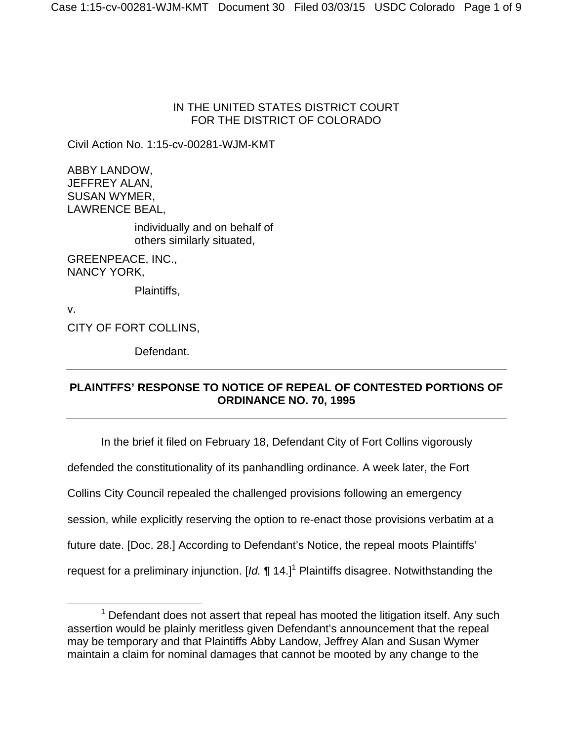### IN THE UNITED STATES DISTRICT COURT FOR THE DISTRICT OF COLORADO

Civil Action No. 1:15-cv-00281-WJM-KMT

ABBY LANDOW, JEFFREY ALAN, SUSAN WYMER, LAWRENCE BEAL,

> individually and on behalf of others similarly situated,

GREENPEACE, INC., NANCY YORK,

Plaintiffs,

v. CITY OF FORT COLLINS,

Defendant.

## **PLAINTFFS' RESPONSE TO NOTICE OF REPEAL OF CONTESTED PORTIONS OF ORDINANCE NO. 70, 1995**

In the brief it filed on February 18, Defendant City of Fort Collins vigorously defended the constitutionality of its panhandling ordinance. A week later, the Fort Collins City Council repealed the challenged provisions following an emergency session, while explicitly reserving the option to re-enact those provisions verbatim at a future date. [Doc. 28.] According to Defendant's Notice, the repeal moots Plaintiffs' request for a preliminary injunction. [Id. ¶ 14.]<sup>1</sup> Plaintiffs disagree. Notwithstanding the

<sup>1</sup>  $1$  Defendant does not assert that repeal has mooted the litigation itself. Any such assertion would be plainly meritless given Defendant's announcement that the repeal may be temporary and that Plaintiffs Abby Landow, Jeffrey Alan and Susan Wymer maintain a claim for nominal damages that cannot be mooted by any change to the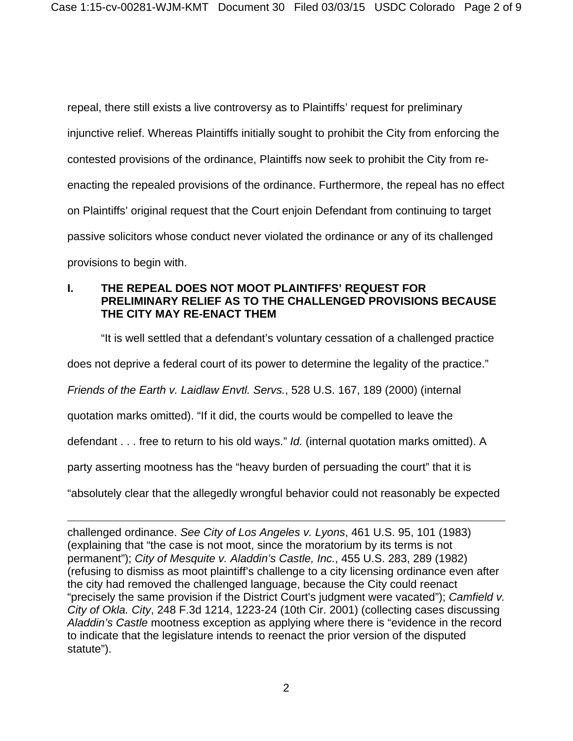repeal, there still exists a live controversy as to Plaintiffs' request for preliminary injunctive relief. Whereas Plaintiffs initially sought to prohibit the City from enforcing the contested provisions of the ordinance, Plaintiffs now seek to prohibit the City from reenacting the repealed provisions of the ordinance. Furthermore, the repeal has no effect on Plaintiffs' original request that the Court enjoin Defendant from continuing to target passive solicitors whose conduct never violated the ordinance or any of its challenged provisions to begin with.

### **I. THE REPEAL DOES NOT MOOT PLAINTIFFS' REQUEST FOR PRELIMINARY RELIEF AS TO THE CHALLENGED PROVISIONS BECAUSE THE CITY MAY RE-ENACT THEM**

"It is well settled that a defendant's voluntary cessation of a challenged practice

does not deprive a federal court of its power to determine the legality of the practice."

*Friends of the Earth v. Laidlaw Envtl. Servs.*, 528 U.S. 167, 189 (2000) (internal

quotation marks omitted). "If it did, the courts would be compelled to leave the

defendant . . . free to return to his old ways." *Id.* (internal quotation marks omitted). A

party asserting mootness has the "heavy burden of persuading the court" that it is

"absolutely clear that the allegedly wrongful behavior could not reasonably be expected

 $\overline{a}$ challenged ordinance. *See City of Los Angeles v. Lyons*, 461 U.S. 95, 101 (1983) (explaining that "the case is not moot, since the moratorium by its terms is not permanent"); *City of Mesquite v. Aladdin's Castle, Inc.*, 455 U.S. 283, 289 (1982) (refusing to dismiss as moot plaintiff's challenge to a city licensing ordinance even after the city had removed the challenged language, because the City could reenact "precisely the same provision if the District Court's judgment were vacated"); *Camfield v. City of Okla. City*, 248 F.3d 1214, 1223-24 (10th Cir. 2001) (collecting cases discussing *Aladdin's Castle* mootness exception as applying where there is "evidence in the record to indicate that the legislature intends to reenact the prior version of the disputed statute").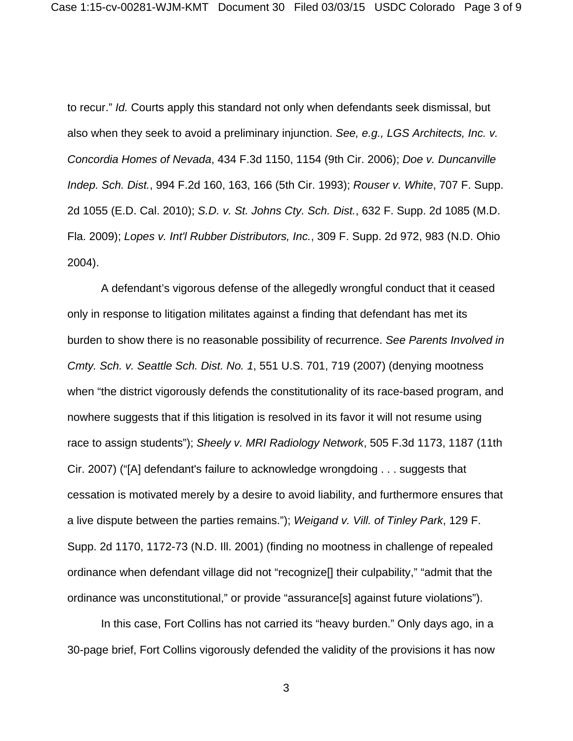to recur." *Id.* Courts apply this standard not only when defendants seek dismissal, but also when they seek to avoid a preliminary injunction. *See, e.g., LGS Architects, Inc. v. Concordia Homes of Nevada*, 434 F.3d 1150, 1154 (9th Cir. 2006); *Doe v. Duncanville Indep. Sch. Dist.*, 994 F.2d 160, 163, 166 (5th Cir. 1993); *Rouser v. White*, 707 F. Supp. 2d 1055 (E.D. Cal. 2010); *S.D. v. St. Johns Cty. Sch. Dist.*, 632 F. Supp. 2d 1085 (M.D. Fla. 2009); *Lopes v. Int'l Rubber Distributors, Inc.*, 309 F. Supp. 2d 972, 983 (N.D. Ohio 2004).

A defendant's vigorous defense of the allegedly wrongful conduct that it ceased only in response to litigation militates against a finding that defendant has met its burden to show there is no reasonable possibility of recurrence. *See Parents Involved in Cmty. Sch. v. Seattle Sch. Dist. No. 1*, 551 U.S. 701, 719 (2007) (denying mootness when "the district vigorously defends the constitutionality of its race-based program, and nowhere suggests that if this litigation is resolved in its favor it will not resume using race to assign students"); *Sheely v. MRI Radiology Network*, 505 F.3d 1173, 1187 (11th Cir. 2007) ("[A] defendant's failure to acknowledge wrongdoing . . . suggests that cessation is motivated merely by a desire to avoid liability, and furthermore ensures that a live dispute between the parties remains."); *Weigand v. Vill. of Tinley Park*, 129 F. Supp. 2d 1170, 1172-73 (N.D. Ill. 2001) (finding no mootness in challenge of repealed ordinance when defendant village did not "recognize[] their culpability," "admit that the ordinance was unconstitutional," or provide "assurance[s] against future violations").

In this case, Fort Collins has not carried its "heavy burden." Only days ago, in a 30-page brief, Fort Collins vigorously defended the validity of the provisions it has now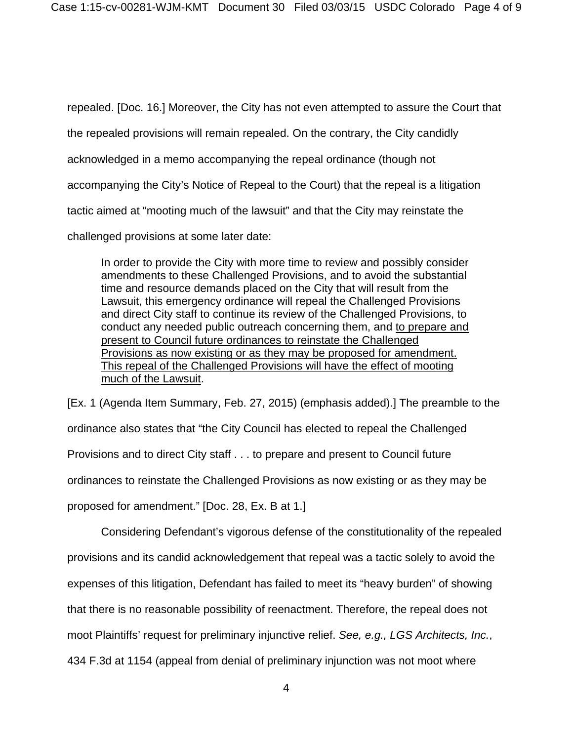repealed. [Doc. 16.] Moreover, the City has not even attempted to assure the Court that the repealed provisions will remain repealed. On the contrary, the City candidly acknowledged in a memo accompanying the repeal ordinance (though not accompanying the City's Notice of Repeal to the Court) that the repeal is a litigation tactic aimed at "mooting much of the lawsuit" and that the City may reinstate the challenged provisions at some later date:

In order to provide the City with more time to review and possibly consider amendments to these Challenged Provisions, and to avoid the substantial time and resource demands placed on the City that will result from the Lawsuit, this emergency ordinance will repeal the Challenged Provisions and direct City staff to continue its review of the Challenged Provisions, to conduct any needed public outreach concerning them, and to prepare and present to Council future ordinances to reinstate the Challenged Provisions as now existing or as they may be proposed for amendment. This repeal of the Challenged Provisions will have the effect of mooting much of the Lawsuit.

[Ex. 1 (Agenda Item Summary, Feb. 27, 2015) (emphasis added).] The preamble to the ordinance also states that "the City Council has elected to repeal the Challenged Provisions and to direct City staff . . . to prepare and present to Council future ordinances to reinstate the Challenged Provisions as now existing or as they may be proposed for amendment." [Doc. 28, Ex. B at 1.]

Considering Defendant's vigorous defense of the constitutionality of the repealed provisions and its candid acknowledgement that repeal was a tactic solely to avoid the expenses of this litigation, Defendant has failed to meet its "heavy burden" of showing that there is no reasonable possibility of reenactment. Therefore, the repeal does not moot Plaintiffs' request for preliminary injunctive relief. *See, e.g., LGS Architects, Inc.*, 434 F.3d at 1154 (appeal from denial of preliminary injunction was not moot where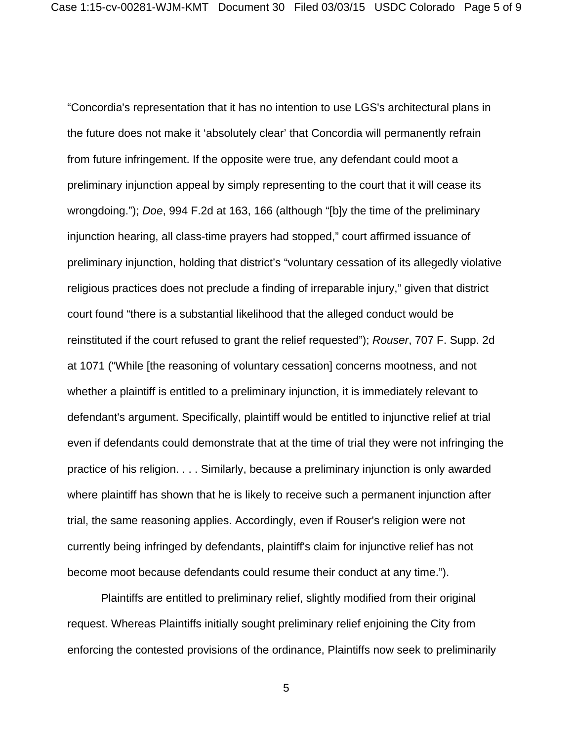"Concordia's representation that it has no intention to use LGS's architectural plans in the future does not make it 'absolutely clear' that Concordia will permanently refrain from future infringement. If the opposite were true, any defendant could moot a preliminary injunction appeal by simply representing to the court that it will cease its wrongdoing."); *Doe*, 994 F.2d at 163, 166 (although "[b]y the time of the preliminary injunction hearing, all class-time prayers had stopped," court affirmed issuance of preliminary injunction, holding that district's "voluntary cessation of its allegedly violative religious practices does not preclude a finding of irreparable injury," given that district court found "there is a substantial likelihood that the alleged conduct would be reinstituted if the court refused to grant the relief requested"); *Rouser*, 707 F. Supp. 2d at 1071 ("While [the reasoning of voluntary cessation] concerns mootness, and not whether a plaintiff is entitled to a preliminary injunction, it is immediately relevant to defendant's argument. Specifically, plaintiff would be entitled to injunctive relief at trial even if defendants could demonstrate that at the time of trial they were not infringing the practice of his religion. . . . Similarly, because a preliminary injunction is only awarded where plaintiff has shown that he is likely to receive such a permanent injunction after trial, the same reasoning applies. Accordingly, even if Rouser's religion were not currently being infringed by defendants, plaintiff's claim for injunctive relief has not become moot because defendants could resume their conduct at any time.").

Plaintiffs are entitled to preliminary relief, slightly modified from their original request. Whereas Plaintiffs initially sought preliminary relief enjoining the City from enforcing the contested provisions of the ordinance, Plaintiffs now seek to preliminarily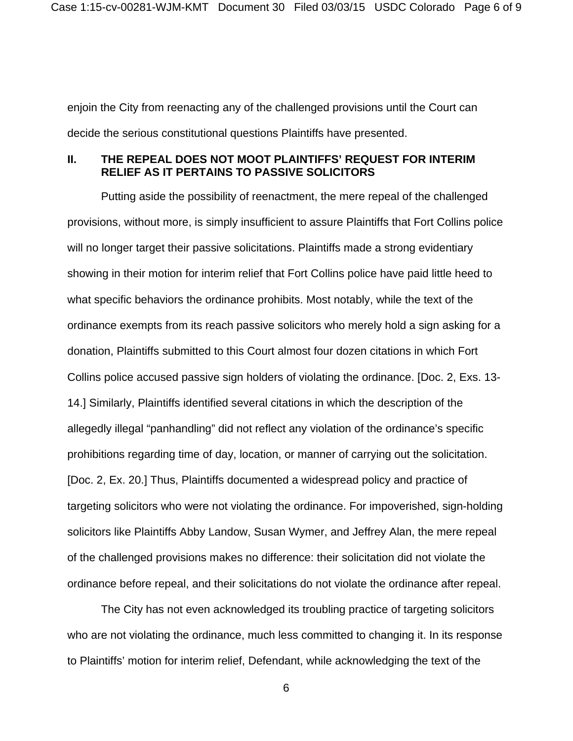enjoin the City from reenacting any of the challenged provisions until the Court can decide the serious constitutional questions Plaintiffs have presented.

### **II. THE REPEAL DOES NOT MOOT PLAINTIFFS' REQUEST FOR INTERIM RELIEF AS IT PERTAINS TO PASSIVE SOLICITORS**

Putting aside the possibility of reenactment, the mere repeal of the challenged provisions, without more, is simply insufficient to assure Plaintiffs that Fort Collins police will no longer target their passive solicitations. Plaintiffs made a strong evidentiary showing in their motion for interim relief that Fort Collins police have paid little heed to what specific behaviors the ordinance prohibits. Most notably, while the text of the ordinance exempts from its reach passive solicitors who merely hold a sign asking for a donation, Plaintiffs submitted to this Court almost four dozen citations in which Fort Collins police accused passive sign holders of violating the ordinance. [Doc. 2, Exs. 13- 14.] Similarly, Plaintiffs identified several citations in which the description of the allegedly illegal "panhandling" did not reflect any violation of the ordinance's specific prohibitions regarding time of day, location, or manner of carrying out the solicitation. [Doc. 2, Ex. 20.] Thus, Plaintiffs documented a widespread policy and practice of targeting solicitors who were not violating the ordinance. For impoverished, sign-holding solicitors like Plaintiffs Abby Landow, Susan Wymer, and Jeffrey Alan, the mere repeal of the challenged provisions makes no difference: their solicitation did not violate the ordinance before repeal, and their solicitations do not violate the ordinance after repeal.

The City has not even acknowledged its troubling practice of targeting solicitors who are not violating the ordinance, much less committed to changing it. In its response to Plaintiffs' motion for interim relief, Defendant, while acknowledging the text of the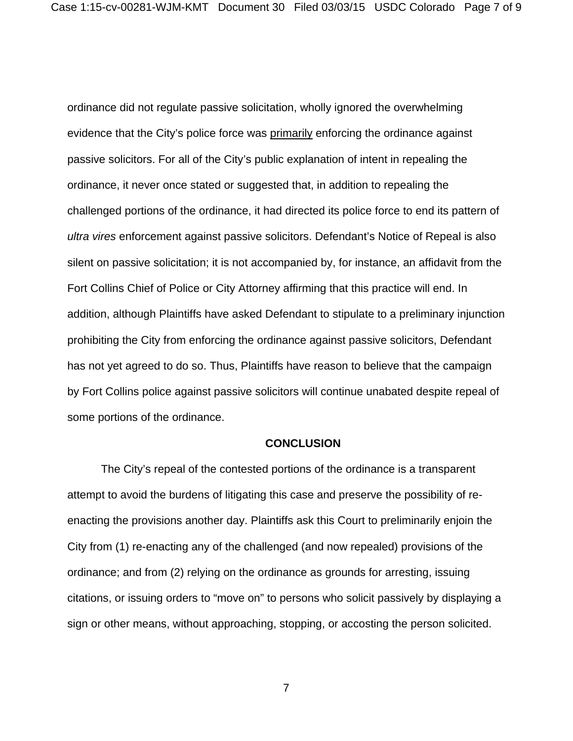ordinance did not regulate passive solicitation, wholly ignored the overwhelming evidence that the City's police force was primarily enforcing the ordinance against passive solicitors. For all of the City's public explanation of intent in repealing the ordinance, it never once stated or suggested that, in addition to repealing the challenged portions of the ordinance, it had directed its police force to end its pattern of *ultra vires* enforcement against passive solicitors. Defendant's Notice of Repeal is also silent on passive solicitation; it is not accompanied by, for instance, an affidavit from the Fort Collins Chief of Police or City Attorney affirming that this practice will end. In addition, although Plaintiffs have asked Defendant to stipulate to a preliminary injunction prohibiting the City from enforcing the ordinance against passive solicitors, Defendant has not yet agreed to do so. Thus, Plaintiffs have reason to believe that the campaign by Fort Collins police against passive solicitors will continue unabated despite repeal of some portions of the ordinance.

#### **CONCLUSION**

The City's repeal of the contested portions of the ordinance is a transparent attempt to avoid the burdens of litigating this case and preserve the possibility of reenacting the provisions another day. Plaintiffs ask this Court to preliminarily enjoin the City from (1) re-enacting any of the challenged (and now repealed) provisions of the ordinance; and from (2) relying on the ordinance as grounds for arresting, issuing citations, or issuing orders to "move on" to persons who solicit passively by displaying a sign or other means, without approaching, stopping, or accosting the person solicited.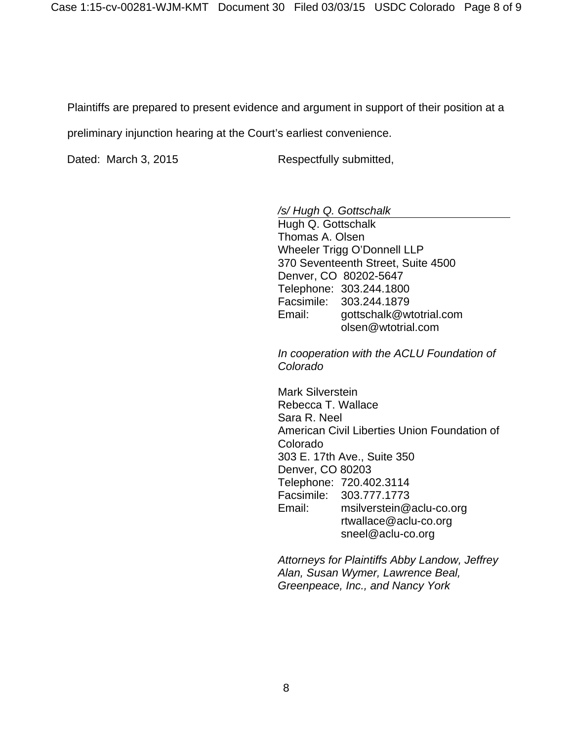Plaintiffs are prepared to present evidence and argument in support of their position at a

preliminary injunction hearing at the Court's earliest convenience.

Dated: March 3, 2015 Respectfully submitted,

*/s/ Hugh Q. Gottschalk* 

 Hugh Q. Gottschalk Thomas A. Olsen Wheeler Trigg O'Donnell LLP 370 Seventeenth Street, Suite 4500 Denver, CO 80202-5647 Telephone: 303.244.1800 Facsimile: 303.244.1879 Email: gottschalk@wtotrial.com olsen@wtotrial.com

*In cooperation with the ACLU Foundation of Colorado* 

Mark Silverstein Rebecca T. Wallace Sara R. Neel American Civil Liberties Union Foundation of Colorado 303 E. 17th Ave., Suite 350 Denver, CO 80203 Telephone: 720.402.3114 Facsimile: 303.777.1773 Email: msilverstein@aclu-co.org rtwallace@aclu-co.org sneel@aclu-co.org

*Attorneys for Plaintiffs Abby Landow, Jeffrey Alan, Susan Wymer, Lawrence Beal, Greenpeace, Inc., and Nancy York*